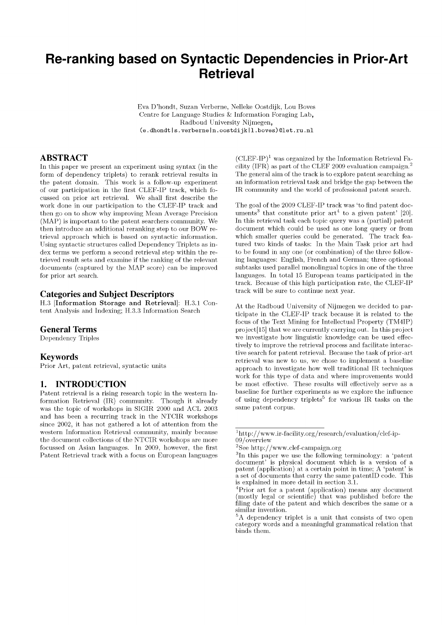# **Re-ranking based on Syntactic Dependencies in Prior-Art Retrieval**

Eva D 'hondt, Suzan Verberne, Nelleke Oostdijk, Lou Boves Centre for Language Studies  $&$  Information Foraging Lab, R adboud University Nijmegen,  $(e.dhondt|s.verberne|n.costdijk|l.boves)@let.ru.nl$ 

## **ABSTRACT**

In this paper we present an experiment using syntax (in the form of dependency triplets) to rerank retrieval results in the patent domain. This work is a follow-up experiment of our participation in the first CLEF-IP track, which focussed on prior art retrieval. We shall first describe the work done in our participation to the CLEF-IP track and then go on to show why improving Mean Average Precision (MAP) is important to the patent searchers community. We then introduce an additional reranking step to our BOW retrieval approach which is based on syntactic information. Using syntactic structures called Dependency Triplets as index terms we perform a second retrieval step within the retrieved result sets and examine if the ranking of the relevant documents (captured by the MAP score) can be improved for prior art search.

#### **Categories and Subject Descriptors**

H.3 [Information Storage and Retrieval]: H.3.1 Content Analysis and Indexing; H.3.3 Information Search

#### **General Terms**

Dependency Triples

#### **Keywords**

Prior Art, patent retrieval, syntactic units

#### **I. INTRODUCTION**

Patent retrieval is a rising research topic in the western Information Retrieval (IR) community. Though it already was the topic of workshops in SIGIR 2000 and ACL 2003 and has been a recurring track in the NTCIR workshops since 2002, it has not gathered a lot of attention from the western Information Retrieval community, mainly because the document collections of the NTCIR workshops are more focussed on Asian languages. In 2009, however, the first Patent Retrieval track with a focus on European languages

 $(C \text{LEF-IP})^1$  was organized by the Information Retrieval Facility (IFR) as part of the CLEF 2009 evaluation campaign.<sup>2</sup> The general aim of the track is to explore patent searching as an information retrieval task and bridge the gap between the IR community and the world of professional patent search.

The goal of the 2009 CLEF-IP track was 'to find patent documents<sup>3</sup> that constitute prior art<sup>4</sup> to a given patent' [20]. In this retrieval task each topic query was a (partial) patent document which could be used as one long query or from which smaller queries could be generated. The track featured two kinds of tasks: In the Main Task prior art had to be found in any one (or combination) of the three following languages: English, French and German; three optional subtasks used parallel monolingual topics in one of the three languages. In total 15 European teams participated in the track. Because of this high participation rate, the CLEF-IP track will be sure to continue next year.

At the Radboud University of Nijmegen we decided to participate in the CLEF-IP track because it is related to the focus of the Text Mining for Intellectual Property (TM4IP)  $project[15]$  that we are currently carrying out. In this project we investigate how linguistic knowledge can be used effectively to improve the retrieval process and facilitate interactive search for patent retrieval. Because the task of prior-art retrieval was new to us, we chose to implement a baseline approach to investigate how well traditional IR techniques work for this type of data and where improvements would be most effective. These results will effectively serve as a baseline for further experiments as we explore the influence of using dependency triplets<sup>5</sup> for various IR tasks on the same patent corpus.

<sup>1</sup>[http://w w w .ir-facility.org/research/evaluation/clef-ip-](http://www.ir-facility.org/research/evaluation/clef-ip-)09 / overview

 ${}^{2}$ See http://www.clef-campaign.org

<sup>3</sup>In this paper we use the following terminology: a 'patent document' is physical document which is a version of a patent (application) at a certain point in time; A 'patent' is a set of documents that carry the same patentID code. This is explained in more detail in section 3.1.

<sup>4</sup>Prior art for a patent (application) means any document  $(mostly legal or scientific) that was published before the$ filing date of the patent and which describes the same or a similar invention.

 ${}^{5}$ A dependency triplet is a unit that consists of two open category words and a meaningful grammatical relation that binds them.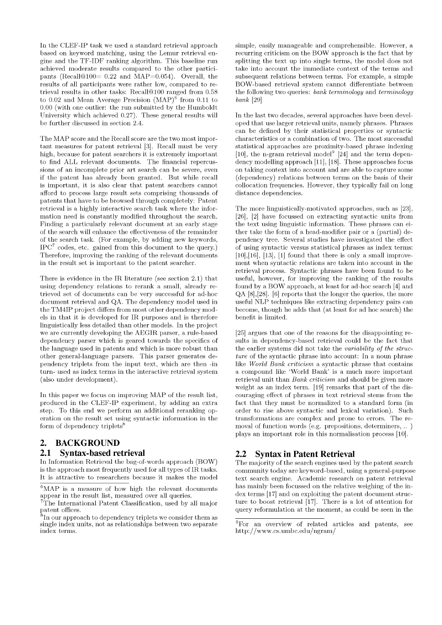In the CLEF-IP task we used a standard retrieval approach based on keyword matching, using the Lemur retrieval engine and the TF-IDF ranking algorithm. This baseline run achieved moderate results compared to the other participants (Recall@100=  $0.22$  and MAP=0.054). Overall, the results of all participants were rather low, compared to retrieval results in other tasks: Recall@100 ranged from 0.58 to 0.02 and Mean Average Precision  $(MAP)^6$  from 0.11 to  $0.00$  (with one outlier: the run submitted by the Humboldt University which achieved 0.27). These general results will be further discussed in section 2.4.

The MAP score and the Recall score are the two most important measures for patent retrieval [3]. Recall must be very high, because for patent searchers it is extremely important to find ALL relevant documents. The financial repercussions of an incomplete prior art search can be severe, even if the patent has already been granted. But while recall is important, it is also clear that patent searchers cannot afford to process large result sets comprising thousands of patents that have to be browsed through completely: Patent retrieval is a highly interactive search task where the information need is constantly modified throughout the search. Finding a particularly relevant document at an early stage of the search will enhance the effectiveness of the remainder of the search task. (For example, by adding new keywords,  $IPC<sup>7</sup>$  codes, etc. gained from this document to the query.) Therefore, improving the ranking of the relevant documents in the result set is important to the patent searcher.

There is evidence in the IR literature (see section  $2.1$ ) that using dependency relations to rerank a small, already retrieved set of documents can be very successful for ad-hoc document retrieval and QA. The dependency model used in the TM4IP project differs from most other dependency models in that it is developed for IR purposes and is therefore linguistically less detailed than other models. In the project we are currently developing the AEGIR parser, a rule-based dependency parser which is geared towards the specifics of the language used in patents and which is more robust than other general-language parsers. This parser generates dependency triplets from the input text, which are then -in turn- used as index terms in the interactive retrieval system (also under development).

In this paper we focus on improving MAP of the result list, produced in the CLEF-IP experiment, by adding an extra step. To this end we perform an additional reranking operation on the result set using syntactic information in the form of dependency triplets<sup>8</sup>

## **2. BACKGROUND**

#### **2.1 Syntax-based retrieval**

In Information Retrieval the bag-of-words approach (BOW) is the approach most frequently used for all types of IR tasks. It is attractive to researchers because it makes the model

simple, easily manageable and comprehensible. However, a recurring criticism on the BOW approach is the fact that by splitting the text up into single terms, the model does not take into account the immediate context of the terms and subsequent relations between terms. For example, a simple BOW -based retrieval system cannot differentiate between the following two queries: *bank terminology* and *terminology bank* [29]

In the last two decades, several approaches have been developed that use larger retrieval units, namely phrases. Phrases can be defined by their statistical properties or syntactic characteristics or a combination of two. The most successful statistical approaches are proximity-based phrase indexing [10], the n-gram retrieval model<sup>9</sup> [24] and the term dependency modelling approach [11], [18]. These approaches focus on taking context into account and are able to capture some (dependency) relations between terms on the basis of their collocation frequencies. However, they typically fail on long distance dependencies.

The more linguistically-motivated approaches, such as [23], [26], [2] have focussed on extracting syntactic units from the text using linguistic information. These phrases can either take the form of a head-modifier pair or a (partial) dependency tree. Several studies have investigated the effect of using syntactic versus statistical phrases as index terms:  $[10],[16], [13], [1]$  found that there is only a small improvement when syntactic relations are taken into account in the retrieval process. Syntactic phrases have been found to be useful, however, for improving the ranking of the results found by a BOW approach, at least for ad-hoc search [4] and  $QA [8]$ , [28]. [6] reports that the longer the queries, the more useful NLP techniques like extracting dependency pairs can become, though he adds that (at least for ad hoc search) the benefit is limited.

[25] argues that one of the reasons for the disappointing results in dependency-based retrieval could be the fact that the earlier systems did not take the *variability of the structure* of the syntactic phrase into account: In a noun phrase like *World Bank criticism* a syntactic phrase that contains a compound like 'World Bank' is a much more important retrieval unit than *Bank criticism* and should be given more weight as an index term.  $[19]$  remarks that part of the discouraging effect of phrases in text retrieval stems from the fact that they must be normalized to a standard form (in order to rise above syntactic and lexical variation). Such transformations are complex and prone to errors. The removal of function words (e.g. prepositions, determiners,  $\ldots$ ) plays an important role in this normalisation process [10].

## **2.2 Syntax in Patent Retrieval**

The majority of the search engines used by the patent search community today are keyword-based, using a general-purpose text search engine. Academic research on patent retrieval has mainly been focussed on the relative weighing of the in- $\gamma$  dex terms [17] and on exploiting the patent document structure to boost retrieval [17]. There is a lot of attention for query reformulation at the moment, as could be seen in the

 $6$ MAP is a measure of how high the relevant documents appear in the result list, measured over all queries.

 $7$ The International Patent Classification, used by all major patent offices.

 ${}^{8}$ In our approach to dependency triplets we consider them as single index units, not as relationships between two separate index terms.

 $\overline{\text{9}}$  For an overview of related articles and patents, see http://www.cs.umbc.edu/ngram/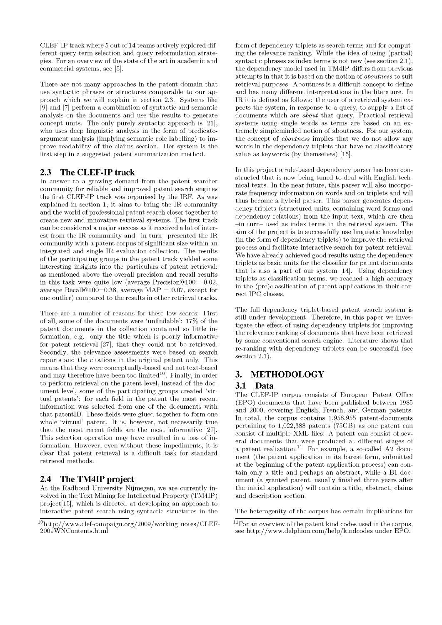CLEF-IP track where 5 out of 14 teams actively explored different query term selection and query reformulation strategies. For an overview of the state of the art in academic and commercial systems, see [5].

There are not many approaches in the patent domain that use syntactic phrases or structures comparable to our approach which we will explain in section 2.3. Systems like [9] and [7] perform a combination of syntactic and semantic analysis on the documents and use the results to generate concept units. The only purely syntactic approach is [21], who uses deep linguistic analysis in the form of predicateargum ent analysis (implying semantic role labelling) to improve readability of the claims section. Her system is the first step in a suggested patent summarization method.

## **2.3 The CLEF-IP track**

In answer to a growing demand from the patent searcher community for reliable and improved patent search engines the first CLEF-IP track was organised by the IRF. As was explained in section 1, it aims to bring the IR community and the world of professional patent search closer together to create new and innovative retrieval systems. The first track can be considered a major success as it received a lot of interest from the IR community and  $\text{-}$ in turn-presented the IR community with a patent corpus of significant size within an integrated and single IR evaluation collection. The results of the participating groups in the patent track yielded some interesting insights into the particulars of patent retrieval: as mentioned above the overall precision and recall results in this task were quite low (average Precision $@100=0.02$ , average Recall@100=0.38, average MAP = 0.07, except for one outlier) compared to the results in other retrieval tracks.

There are a number of reasons for these low scores: First of all, some of the documents were 'unfindable': 17% of the patent documents in the collection contained so little information, e.g. only the title which is poorly informative for patent retrieval  $[27]$ , that they could not be retrieved. Secondly, the relevance assessments were based on search reports and the citations in the original patent only. This means that they were conceptually-based and not text-based and may therefore have been too limited<sup>10</sup>. Finally, in order to perform retrieval on the patent level, instead of the docum ent level, some of the participating groups created 'virtual patents': for each field in the patent the most recent information was selected from one of the documents with that patentID. These fields were glued together to form one whole 'virtual' patent. It is, however, not necessarily true that the most recent fields are the most informative  $[27]$ . This selection operation may have resulted in a loss of information. However, even without these impediments, it is clear that patent retrieval is a difficult task for standard retrieval methods.

## **2.4 The TM4IP project**

At the Radboud University Nijmegen, we are currently involved in the Text Mining for Intellectual Property (TM4IP) project[15], which is directed at developing an approach to interactive patent search using syntactic structures in the

form of dependency triplets as search terms and for computing the relevance ranking. W hile the idea of using (partial) syntactic phrases as index terms is not new (see section  $2.1$ ), the dependency model used in TM4IP differs from previous attempts in that it is based on the notion of *aboutness* to suit retrieval purposes. Aboutness is a difficult concept to define and has many different interpretations in the literature. In IR it is defined as follows: the user of a retrieval system expects the system, in response to a query, to supply a list of documents which are *about* that query. Practical retrieval systems using single words as terms are based on an extremely simpleminded notion of aboutness. For our system, the concept of *aboutness* implies that we do not allow any words in the dependency triplets that have no classificatory value as keywords (by themselves) [15].

In this project a rule-based dependency parser has been constructed that is now being tuned to deal with English technical texts. In the near future, this parser will also incorporate frequency information on words and on triplets and will thus become a hybrid parser. This parser generates dependency triplets (structured units, containing word forms and dependency relations) from the input text, which are then -in turn- used as index terms in the retrieval system. The aim of the project is to successfully use linguistic knowledge (in the form of dependency triplets) to improve the retrieval process and facilitate interactive search for patent retrieval. We have already achieved good results using the dependency triplets as basic units for the classifier for patent documents that is also a part of our system  $[14]$ . Using dependency triplets as classification terms, we reached a high accuracy in the (pre)classification of patent applications in their correct IPC classes.

The full dependency triplet-based patent search system is still under development. Therefore, in this paper we investigate the effect of using dependency triplets for improving the relevance ranking of documents that have been retrieved by some conventional search engine. Literature shows that re-ranking with dependency triplets can be successful (see section 2.1).

## **3. METHODOLOGY**

## **3.1 Data**

The CLEF-IP corpus consists of European Patent Office (EPO) documents that have been published between 1985 and 2000, covering English, French, and German patents. In total, the corpus contains  $1,958,955$  patent-documents pertaining to 1,022,388 patents (75GB) as one patent can consist of multiple XML files: A patent can consist of several documents that were produced at different stages of a patent realization.<sup>11</sup> For example, a so-called A2 document (the patent application in its barest form, submitted at the beginning of the patent application process) can contain only a title and perhaps an abstract, while a B1 docum ent (a granted patent, usually finished three years after the initial application) will contain a title, abstract, claims and description section.

The heterogenity of the corpus has certain implications for

 $^{10}$ http://www.clef-campaign.org/2009/working\_notes/CLEF-  $^{11}$ For an overview of the patent kind codes used in the corpus, see http://www.delphion.com/help/kindcodes under EPO.

see http://www.delphion.com/help/kindcodes under EPO.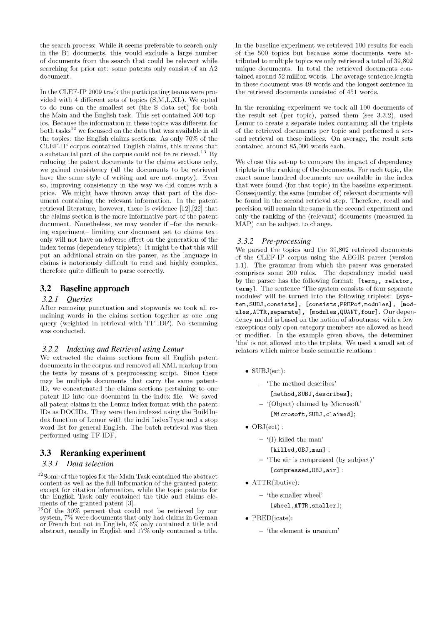the search process: While it seems preferable to search only in the B1 documents, this would exclude a large number of documents from the search that could be relevant while searching for prior art: some patents only consist of an A2 document.

In the CLEF-IP 2009 track the participating teams were provided with 4 different sets of topics  $(S, M, L, XL)$ . We opted to do runs on the smallest set (the S data set) for both the Main and the English task. This set contained 500 topics. Because the information in these topics was different for both tasks<sup>12</sup> we focussed on the data that was available in all the topics: the English claims sections. As only 70% of the CLEF-IP corpus contained English claims, this means that a substantial part of the corpus could not be retrieved.<sup>13</sup> By reducing the patent documents to the claims sections only, we gained consistency (all the documents to be retrieved have the same style of writing and are not empty). Even so, improving consistency in the way we did comes with a price. We might have thrown away that part of the docum ent containing the relevant information. In the patent retrieval literature, however, there is evidence  $[12],[22]$  that the claims section is the more informative part of the patent document. Nonetheless, we may wonder if -for the reranking experiment- limiting our document set to claims text only will not have an adverse effect on the generation of the index terms (dependency triplets): It might be that this will put an additional strain on the parser, as the language in claims is notoriously difficult to read and highly complex, therefore quite difficult to parse correctly.

## **3.2 Baseline approach**

#### *3.2.1 Queries*

After removing punctuation and stopwords we took all remaining words in the claims section together as one long query (weighted in retrieval with TF-IDF). No stemming was conducted.

#### *3.2.2 Indexing and Retrieval using Lemur*

We extracted the claims sections from all English patent documents in the corpus and removed all XML markup from the texts by means of a preprocessing script. Since there may be multiple documents that carry the same patent-ID, we concatenated the claims sections pertaining to one patent ID into one document in the index file. We saved all patent claims in the Lemur index format with the patent IDs as DOCIDs. They were then indexed using the BuildIndex function of Lemur with the indri IndexType and a stop word list for general English. The batch retrieval was then performed using TF-IDF.

## **3.3 Reranking experiment**

#### *3.3.1 Data selection*

In the baseline experiment we retrieved 100 results for each of the 500 topics but because some documents were attributed to multiple topics we only retrieved a total of 39,802 unique documents. In total the retrieved documents contained around 52 million words. The average sentence length in these document was 49 words and the longest sentence in the retrieved documents consisted of 451 words.

In the reranking experiment we took all 100 documents of the result set (per topic), parsed them (see 3.3.2), used Lemur to create a separate index containing all the triplets of the retrieved documents per topic and performed a second retrieval on these indices. On average, the result sets contained around 85,000 words each.

We chose this set-up to compare the impact of dependency triplets in the ranking of the documents. For each topic, the exact same hundred documents are available in the index that were found (for that topic) in the baseline experiment. Consequently, the same (number of) relevant documents will be found in the second retrieval step. Therefore, recall and precision will remain the same in the second experiment and only the ranking of the (relevant) documents (measured in MAP) can be subject to change.

#### *3.3.2 Pre-processing*

We parsed the topics and the 39,802 retrieved documents of the CLEF-IP corpus using the A EGIR parser (version 1.1). The grammar from which the parser was generated comprises some 200 rules. The dependency model used by the parser has the following format:  $[\text{term}_1, \text{relator},$  $term<sub>2</sub>$ ]. The sentence 'The system consists of four separate modules' will be turned into the following triplets: [system, SUBJ, consists], [consists, PREPof, modules], [modules, ATTR, separate], [modules, QUANT, four]. Our dependency model is based on the notion of aboutness: with a few exceptions only open category members are allowed as head or modifier. In the example given above, the determiner 'the' is not allowed into the triplets. We used a small set of relators which mirror basic semantic relations :

- SUBJ(ect):
	- 'The method describes'
		- [method,SUBJ,describes];
	- $-$  '(Object) claimed by Microsoft' [Microsoft,SUBJ,claimed];
- $OBJ(ect)$  :
	- $-$  '(I) killed the man'
		- $[killed, OBJ, man]$ ;
	- 'The air is compressed (by subject)' [compressed, OBJ, air] ;
	-
- ATTR(ibutive):
	- 'the smaller wheel'
		- [wheel,ATTR,smaller];
- PRED(icate):
	- 'the element is uranium '

 $^{12}$  Some of the topics for the Main Task contained the abstract content as well as the full information of the granted patent except for citation information, while the topic patents for the English Task only contained the title and claims elements of the granted patent [3].

 $^{13}$ Of the 30% percent that could not be retrieved by our system, 7% were documents that only had claims in German or French but not in English, 6% only contained a title and abstract, usually in English and 17% only contained a title.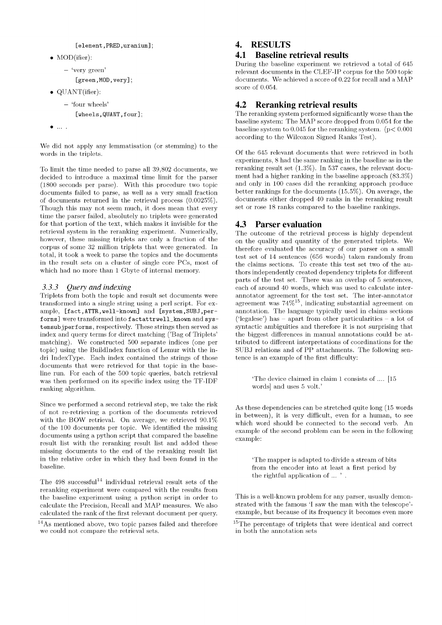```
[element, PRED, uranium];
```
- MOD(ifier):
	- 'very green'

[green, MOD, very];

- QUANT(ifier):
	- 'four wheels'
		- [wheels,QUANT,four];
- $\bullet$  ...

We did not apply any lemmatisation (or stemming) to the words in the triplets.

To limit the time needed to parse all 39,802 documents, we decided to introduce a maximal time limit for the parser (1800 seconds per parse). With this procedure two topic documents failed to parse, as well as a very small fraction of documents returned in the retrieval process  $(0.0025\%)$ . Though this may not seem much, it does mean that every time the parser failed, absolutely no triplets were generated for that portion of the text, which makes it invisible for the retrieval system in the reranking experiment. Numerically, however, these missing triplets are only a fraction of the corpus of some 32 million triplets that were generated. In total, it took a week to parse the topics and the documents in the result sets on a cluster of single core PCs, most of which had no more than 1 Gbyte of internal memory.

#### *3.3.3 Query and indexing*

Triplets from both the topic and result set documents were transformed into a single string using a perl script. For example, [fact,ATTR,well-known] and [system,SUBJ,performs] were transformed into factattrwell\_known and system subjperforms, respectively. These strings then served as index and query terms for direct matching ('Bag of Triplets' matching). We constructed 500 separate indices (one per topic) using the BuildIndex function of Lemur with the indri IndexType. Each index contained the strings of those documents that were retrieved for that topic in the baseline run. For each of the 500 topic queries, batch retrieval was then performed on its specific index using the TF-IDF ranking algorithm.

Since we performed a second retrieval step, we take the risk of not re-retrieving a portion of the documents retrieved with the BOW retrieval. On average, we retrieved  $90.1\%$ of the 100 documents per topic. We identified the missing documents using a python script that compared the baseline result list with the reranking result list and added these missing documents to the end of the reranking result list in the relative order in which they had been found in the baseline.

The  $498$  successful<sup>14</sup> individual retrieval result sets of the reranking experiment were compared with the results from the baseline experiment using a python script in order to calculate the Precision, Recall and MAP measures. We also calculated the rank of the first relevant document per query.

## **4. RESULTS**

## **4.1 Baseline retrieval results**

During the baseline experiment we retrieved a total of 645 relevant documents in the CLEF-IP corpus for the 500 topic documents. We achieved a score of  $0.22$  for recall and a MAP score of 0.054.

## **4.2 Reranking retrieval results**

The reranking system performed significantly worse than the baseline system: The MAP score dropped from 0.054 for the baseline system to 0.045 for the reranking system. ( $p < 0.001$ ) according to the Wilcoxon Signed Ranks Test).

Of the 645 relevant documents that were retrieved in both experiments, 8 had the same ranking in the baseline as in the reranking result set (1.3%). In 537 cases, the relevant document had a higher ranking in the baseline approach (83.3%) and only in 100 cases did the reranking approach produce better rankings for the documents  $(15.5\%)$ . On average, the documents either dropped 40 ranks in the reranking result set or rose 18 ranks compared to the baseline rankings.

## **4.3 Parser evaluation**

The outcome of the retrieval process is highly dependent on the quality and quantity of the generated triplets. We therefore evaluated the accuracy of our parser on a small test set of  $14$  sentences (656 words) taken randomly from the claims sections. To create this test set two of the authors independently created dependency triplets for different parts of the test set. There was an overlap of 5 sentences, each of around 40 words, which was used to calculate interannotator agreement for the test set. The inter-annotator agreement was 74%15, indicating substantial agreement on annotation. The language typically used in claims sections ('legalese') has  $-$  apart from other particularities  $-$  a lot of syntactic ambiguities and therefore it is not surprising that the biggest differences in manual annotations could be attributed to different interpretations of coordinations for the SUBJ relations and of PP attachments. The following sentence is an example of the first difficulty:

'The device claimed in claim 1 consists of .... [15 words] and uses 5 volt.'

As these dependencies can be stretched quite long (15 words in between), it is very difficult, even for a human, to see which word should be connected to the second verb. An example of the second problem can be seen in the following example:

'The mapper is adapted to divide a stream of bits from the encoder into at least a first period by the rightful application of ... ' .

This is a well-known problem for any parser, usually demonstrated with the famous 'I saw the man with the telescope'example, but because of its frequency it becomes even more

 $14$ As mentioned above, two topic parses failed and therefore we could not compare the retrieval sets.

 $15$ The percentage of triplets that were identical and correct in both the annotation sets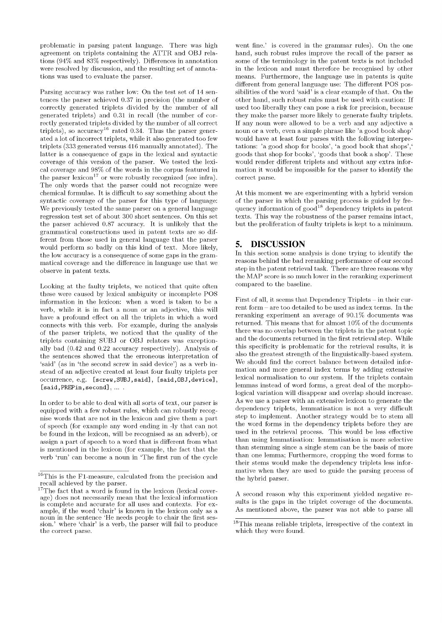problematic in parsing patent language. There was high agreement on triplets containing the ATTR and OBJ relations (94% and 83% respectively). Differences in annotation were resolved by discussion, and the resulting set of annotations was used to evaluate the parser.

Parsing accuracy was rather low: On the test set of 14 sentences the parser achieved 0.37 in precision (the number of correctly generated triplets divided by the number of all generated triplets) and 0.31 in recall (the number of correctly generated triplets divided by the number of all correct triplets), so accuracy<sup>16</sup> rated 0.34. Thus the parser generated a lot of incorrect triplets, while it also generated too few triplets (333 generated versus 416 manually annotated). The latter is a consequence of gaps in the lexical and syntactic coverage of this version of the parser. We tested the lexical coverage and 98% of the words in the corpus featured in the parser lexicon<sup>17</sup> or were robustly recognized (see infra). The only words that the parser could not recognize were chemical formulae. It is difficult to say something about the syntactic coverage of the parser for this type of language: We previously tested the same parser on a general language regression test set of about 300 short sentences. On this set the parser achieved 0.87 accuracy. It is unlikely that the grammatical constructions used in patent texts are so different from those used in general language that the parser would perform so badly on this kind of text. More likely, the low accuracy is a consequence of some gaps in the gram matical coverage and the difference in language use that we observe in patent texts.

Looking at the faulty triplets, we noticed that quite often these were caused by lexical ambiguity or incomplete POS information in the lexicon: when a word is taken to be a verb, while it is in fact a noun or an adjective, this will have a profound effect on all the triplets in which a word connects with this verb. For example, during the analysis of the parser triplets, we noticed that the quality of the triplets containing SUBJ or OBJ relators was exceptionally bad (0.42 and 0.22 accuracy respectively). Analysis of the sentences showed that the erroneous interpretation of 'said' (as in 'the second screw in said device') as a verb instead of an adjective created at least four faulty triplets per occurrence, e.g. [screw, SUBJ, said], [said, OBJ, device],  $[said, PREFin, second], ...$ .

In order to be able to deal with all sorts of text, our parser is equipped with a few robust rules, which can robustly recognise words that are not in the lexicon and give them a part of speech (for example any word ending in -ly that can not be found in the lexicon, will be recognised as an adverb), or assign a part of speech to a word that is different from what is mentioned in the lexicon (for example, the fact that the verb 'run' can become a noun in 'The first run of the cycle

went fine.' is covered in the grammar rules). On the one hand, such robust rules improve the recall of the parser as some of the terminology in the patent texts is not included in the lexicon and must therefore be recognised by other means. Furthermore, the language use in patents is quite different from general language use: The different POS possibilities of the word 'said' is a clear example of that. On the other hand, such robust rules must be used with caution: If used too liberally they can pose a risk for precision, because they make the parser more likely to generate faulty triplets. If any noun were allowed to be a verb and any adjective a noun or a verb, even a simple phrase like 'a good book shop' would have at least four parses with the following interpretations: 'a good shop for books', 'a good book that shops', goods that shop for books', 'goods that book a shop'. These would render different triplets and without any extra information it would be impossible for the parser to identify the correct parse.

At this moment we are experimenting with a hybrid version of the parser in which the parsing process is guided by frequency information of  $\text{good}^{18}$  dependency triplets in patent texts. This way the robustness of the parser remains intact, but the proliferation of faulty triplets is kept to a minimum.

## **5. DISCUSSION**

In this section some analysis is done trying to identify the reasons behind the bad reranking performance of our second step in the patent retrieval task. There are three reasons why the MAP score is so much lower in the reranking experiment compared to the baseline.

First of all, it seems that Dependency Triplets - in their current form - are too detailed to be used as index terms. In the reranking experiment an average of  $90.1\%$  documents was returned. This means that for almost  $10\%$  of the documents there was no overlap between the triplets in the patent topic and the documents returned in the first retrieval step. While this specificity is problematic for the retrieval results, it is also the greatest strength of the linguistically-based system. We should find the correct balance between detailed information and more general index terms by adding extensive lexical normalisation to our system. If the triplets contain lemmas instead of word forms, a great deal of the morphological variation will disappear and overlap should increase. As we use a parser with an extensive lexicon to generate the dependency triplets, lemmatisation is not a very difficult step to implement. Another strategy would be to stem all the word forms in the dependency triplets before they are used in the retrieval process. This would be less effective than using lemmatisation: lemmatisation is more selective than stemming since a single stem can be the basis of more than one lemma; Furthermore, cropping the word forms to their stems would make the dependency triplets less informative when they are used to guide the parsing process of the hybrid parser.

A second reason why this experiment yielded negative results is the gaps in the triplet coverage of the documents. As mentioned above, the parser was not able to parse all

 $^{16}\mathrm{This}$  is the F1-measure, calculated from the precision and recall achieved by the parser.

 $17$ The fact that a word is found in the lexicon (lexical coverage) does not necessarily mean that the lexical information is complete and accurate for all uses and contexts. For example, if the word 'chair' is known in the lexicon only as a noun in the sentence 'He needs people to chair the first session.' where 'chair' is a verb, the parser will fail to produce the correct parse.

 $^{18}{\rm This}$  means reliable triplets, irrespective of the context in which they were found.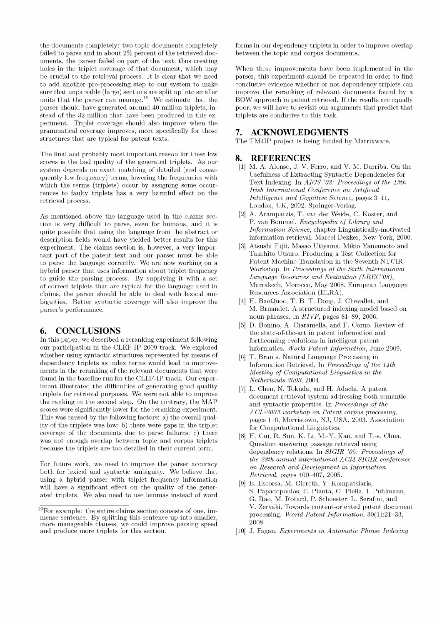the documents completely: two topic documents completely failed to parse and in about 2% percent of the retrieved documents, the parser failed on part of the text, thus creating holes in the triplet coverage of that document, which may be crucial to the retrieval process. It is clear that we need to add another pre-processing step to our system to make sure that unparsable (large) sections are split up into smaller units that the parser can manage. $19$  We estimate that the parser should have generated around 40 million triplets, instead of the 32 million that have been produced in this experiment. Triplet coverage should also improve when the grammatical coverage improves, more specifically for those structures that are typical for patent texts.

The final and probably most important reason for these low scores is the bad quality of the generated triplets. As our system depends on exact matching of detailed (and consequently low frequency) terms, lowering the frequencies with which the terms (triplets) occur by assigning some occurrences to faulty triplets has a very harm ful effect on the retrieval process.

As mentioned above the language used in the claims section is very difficult to parse, even for humans, and it is quite possible that using the language from the abstract or description fields would have yielded better results for this experiment. The claims section is, however, a very important part of the patent text and our parser must be able to parse the language correctly. We are now working on a hybrid parser that uses information about triplet frequency to guide the parsing process. By supplying it with a set of correct triplets that are typical for the language used in claims, the parser should be able to deal with lexical ambiguities. Better syntactic coverage will also improve the parser's performance.

## **6. CONCLUSIONS**

In this paper, we described a reranking experiment following our participation in the CLEF-IP 2009 track. We explored whether using syntactic structures represented by means of dependency triplets as index terms would lead to improvements in the reranking of the relevant documents that were found in the baseline run for the CLEF-IP track. Our experiment illustrated the difficulties of generating good quality triplets for retrieval purposes. We were not able to improve the ranking in the second step. On the contrary, the MAP scores were significantly lower for the reranking experiment. This was caused by the following factors: a) the overall quality of the triplets was low; b) there were gaps in the triplet coverage of the documents due to parse failures; c) there was not enough overlap between topic and corpus triplets because the triplets are too detailed in their current form.

For future work, we need to improve the parser accuracy both for lexical and syntactic ambiguity. We believe that using a hybrid parser with triplet frequency information will have a significant effect on the quality of the generated triplets. We also need to use lemmas instead of word forms in our dependency triplets in order to improve overlap between the topic and corpus documents.

When these improvements have been implemented in the parser, this experiment should be repeated in order to find conclusive evidence whether or not dependency triplets can improve the reranking of relevant documents found by a BOW approach in patent retrieval. If the results are equally poor, we will have to revisit our arguments that predict that triplets are conducive to this task.

#### **7. ACKNOWLEDGMENTS**

The TM4IP project is being funded by Matrixware.

#### **8. REFERENCES**

- [1] M. A. Alonso, J. V. Ferro, and V. M. Darriba. On the Usefulness of Extracting Syntactic Dependencies for Text Indexing. In *AICS '02: Proceedings of the 13th Irish International Conference on Artificial Intelligence and Cognitive Science,* pages 3-11, London, UK, 2002. Springer-Verlag.
- [2] A. Arampatzis, T. van der Weide, C. Koster, and P. van Bommel. *Encyclopedia of Library and Information Science*, chapter Linguistically-motivated information retrieval. Marcel Dekker, New York, 2000.
- [3] Atsushi Fujii, Masao Utiyama, Mikio Yamamoto and Takehito Utsuro. Producing a Test Collection for Patent Machine Translation in the Seventh NTCIR Workshop. In *Proceedings of the Sixth International* Language Resources and Evaluation (LREC'08), Marrakech, Morocco, May 2008. European Language Resources Association (ELRA).
- [4] H. BaoQuoc, T. B. T. Dong, J. Chevallet, and M. Bruandet. A structured indexing model based on noun phrases. In *RIVF*, pages 81-89, 2006.
- [5] D. Bonino, A. Ciaramella, and F. Corno. Review of the state-of-the-art in patent information and forthcoming evolutions in intelligent patent informatics. *World Patent Information*, June 2009.
- [6] T. Brants. Natural Language Processing in Information Retrieval. In *Proceedings of the 14th Meeting of Computational Linguistics in the N etherlands 2003,* 2004.
- [7] L. Chen, N. Tokuda, and H. Adachi. A patent document retrieval system addressing both semantic and syntactic properties. In *Proceedings of the A C L -2 0 0 3 workshop on P a ten t corpus processing,* pages 1-6, Morristown, NJ, USA, 2003. Association for Computational Linguistics.
- [8] H. Cui, R. Sun, K. Li, M.-Y. Kan, and T.-s. Chua. Question answering passage retrieval using dependency relations. In *SIGIR '05: Proceedings of the 28th annual international ACM SIGIR conference on Research and Development in Information R etrieval*, pages 400-407, 2005.
- [9] E. Escorsa, M. Giereth, Y. Kompatsiaris, S. Papadopoulos, E. Pianta, G. Piella, I. Puhlmann, G. Rao, M. Rotard, P. Schoester, L. Serafini, and V. Zervaki. Towards content-oriented patent document processing. *World Patent Information*,  $30(1):21-33$ , 2008.
- [10] J. Fagan. *Experiments in Automatic Phrase Indexing*

 $19$ For example: the entire claims section consists of one, immense sentence. By splitting this sentence up into smaller, more manageable clauses, we could improve parsing speed and produce more triplets for this section.